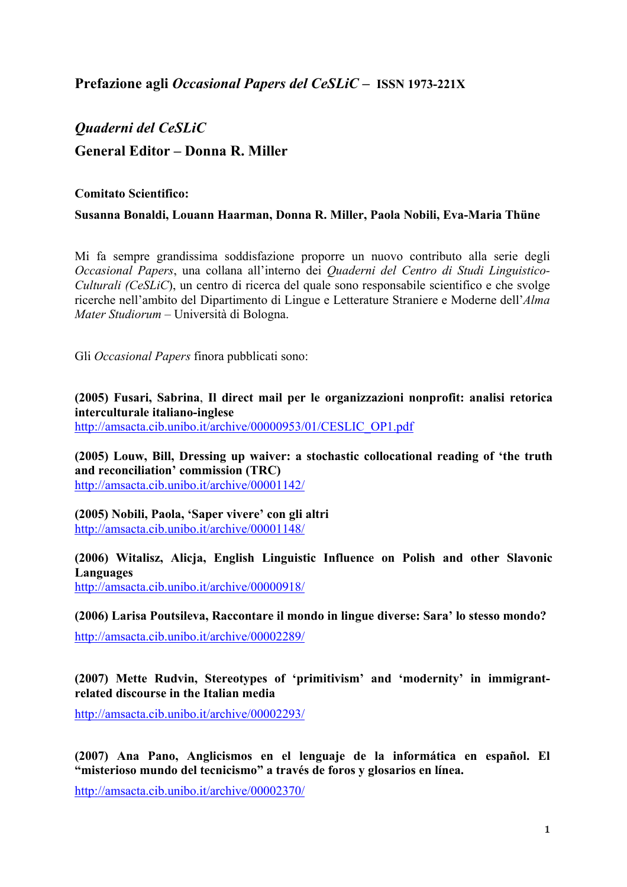# *Quaderni del CeSLiC*  **General Editor – Donna R. Miller**

# **Comitato Scientifico:**

# **Susanna Bonaldi, Louann Haarman, Donna R. Miller, Paola Nobili, Eva-Maria Thüne**

Mi fa sempre grandissima soddisfazione proporre un nuovo contributo alla serie degli *Occasional Papers*, una collana all'interno dei *Quaderni del Centro di Studi Linguistico-Culturali (CeSLiC*), un centro di ricerca del quale sono responsabile scientifico e che svolge ricerche nell'ambito del Dipartimento di Lingue e Letterature Straniere e Moderne dell'*Alma Mater Studiorum* – Università di Bologna.

Gli *Occasional Papers* finora pubblicati sono:

**(2005) Fusari, Sabrina**, **Il direct mail per le organizzazioni nonprofit: analisi retorica interculturale italiano-inglese** http://amsacta.cib.unibo.it/archive/00000953/01/CESLIC\_OP1.pdf

**(2005) Louw, Bill, Dressing up waiver: a stochastic collocational reading of 'the truth and reconciliation' commission (TRC)**  http://amsacta.cib.unibo.it/archive/00001142/

**(2005) Nobili, Paola, 'Saper vivere' con gli altri**  http://amsacta.cib.unibo.it/archive/00001148/

**(2006) Witalisz, Alicja, English Linguistic Influence on Polish and other Slavonic Languages**  http://amsacta.cib.unibo.it/archive/00000918/

**(2006) Larisa Poutsileva, Raccontare il mondo in lingue diverse: Sara' lo stesso mondo?** 

http://amsacta.cib.unibo.it/archive/00002289/

# **(2007) Mette Rudvin, Stereotypes of 'primitivism' and 'modernity' in immigrantrelated discourse in the Italian media**

http://amsacta.cib.unibo.it/archive/00002293/

**(2007) Ana Pano, Anglicismos en el lenguaje de la informática en español. El "misterioso mundo del tecnicismo" a través de foros y glosarios en línea.** 

http://amsacta.cib.unibo.it/archive/00002370/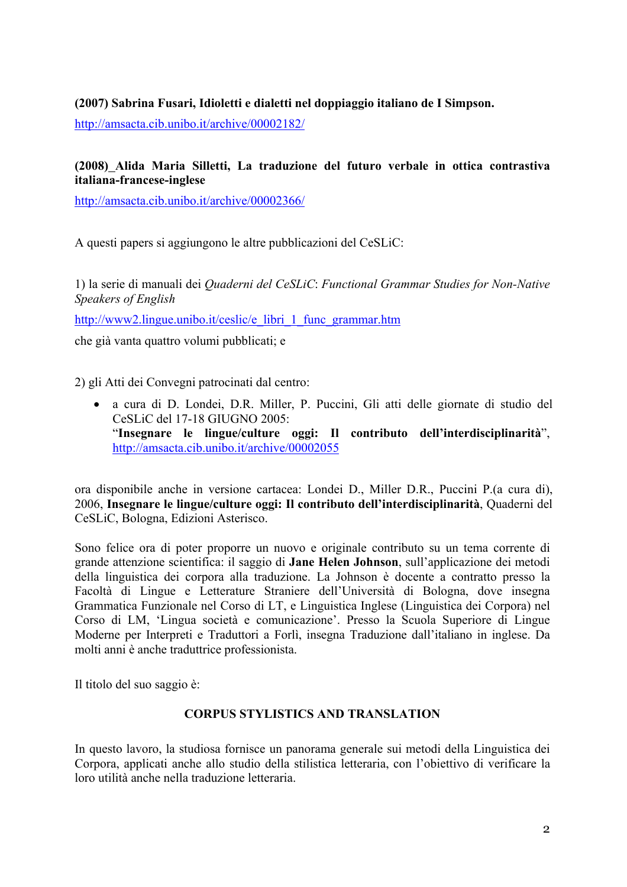# **(2007) Sabrina Fusari, Idioletti e dialetti nel doppiaggio italiano de I Simpson.**

http://amsacta.cib.unibo.it/archive/00002182/

# **(2008) Alida Maria Silletti, La traduzione del futuro verbale in ottica contrastiva italiana-francese-inglese**

http://amsacta.cib.unibo.it/archive/00002366/

A questi papers si aggiungono le altre pubblicazioni del CeSLiC:

1) la serie di manuali dei *Quaderni del CeSLiC*: *Functional Grammar Studies for Non-Native Speakers of English* 

http://www2.lingue.unibo.it/ceslic/e\_libri\_1\_func\_grammar.htm

che già vanta quattro volumi pubblicati; e

2) gli Atti dei Convegni patrocinati dal centro:

• a cura di D. Londei, D.R. Miller, P. Puccini, Gli atti delle giornate di studio del CeSLiC del 17-18 GIUGNO 2005: "**Insegnare le lingue/culture oggi: Il contributo dell'interdisciplinarità**", http://amsacta.cib.unibo.it/archive/00002055

ora disponibile anche in versione cartacea: Londei D., Miller D.R., Puccini P.(a cura di), 2006, **Insegnare le lingue/culture oggi: Il contributo dell'interdisciplinarità**, Quaderni del CeSLiC, Bologna, Edizioni Asterisco.

Sono felice ora di poter proporre un nuovo e originale contributo su un tema corrente di grande attenzione scientifica: il saggio di **Jane Helen Johnson**, sull'applicazione dei metodi della linguistica dei corpora alla traduzione. La Johnson è docente a contratto presso la Facoltà di Lingue e Letterature Straniere dell'Università di Bologna, dove insegna Grammatica Funzionale nel Corso di LT, e Linguistica Inglese (Linguistica dei Corpora) nel Corso di LM, 'Lingua società e comunicazione'. Presso la Scuola Superiore di Lingue Moderne per Interpreti e Traduttori a Forlì, insegna Traduzione dall'italiano in inglese. Da molti anni è anche traduttrice professionista.

Il titolo del suo saggio è:

# **CORPUS STYLISTICS AND TRANSLATION**

In questo lavoro, la studiosa fornisce un panorama generale sui metodi della Linguistica dei Corpora, applicati anche allo studio della stilistica letteraria, con l'obiettivo di verificare la loro utilità anche nella traduzione letteraria.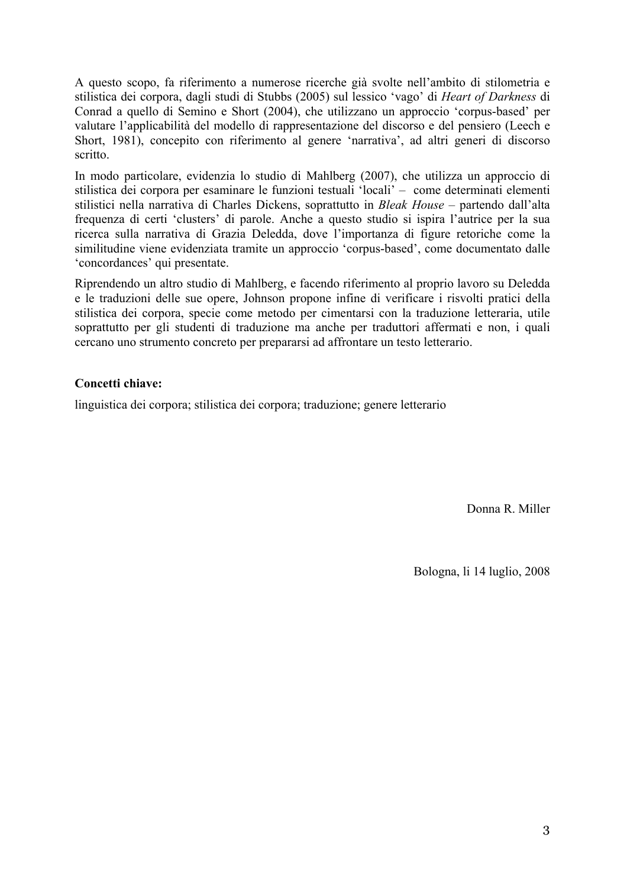A questo scopo, fa riferimento a numerose ricerche già svolte nell'ambito di stilometria e stilistica dei corpora, dagli studi di Stubbs (2005) sul lessico 'vago' di *Heart of Darkness* di Conrad a quello di Semino e Short (2004), che utilizzano un approccio 'corpus-based' per valutare l'applicabilità del modello di rappresentazione del discorso e del pensiero (Leech e Short, 1981), concepito con riferimento al genere 'narrativa', ad altri generi di discorso scritto.

In modo particolare, evidenzia lo studio di Mahlberg (2007), che utilizza un approccio di stilistica dei corpora per esaminare le funzioni testuali 'locali' – come determinati elementi stilistici nella narrativa di Charles Dickens, soprattutto in *Bleak House* – partendo dall'alta frequenza di certi 'clusters' di parole. Anche a questo studio si ispira l'autrice per la sua ricerca sulla narrativa di Grazia Deledda, dove l'importanza di figure retoriche come la similitudine viene evidenziata tramite un approccio 'corpus-based', come documentato dalle 'concordances' qui presentate.

Riprendendo un altro studio di Mahlberg, e facendo riferimento al proprio lavoro su Deledda e le traduzioni delle sue opere, Johnson propone infine di verificare i risvolti pratici della stilistica dei corpora, specie come metodo per cimentarsi con la traduzione letteraria, utile soprattutto per gli studenti di traduzione ma anche per traduttori affermati e non, i quali cercano uno strumento concreto per prepararsi ad affrontare un testo letterario.

## **Concetti chiave:**

linguistica dei corpora; stilistica dei corpora; traduzione; genere letterario

Donna R. Miller

Bologna, li 14 luglio, 2008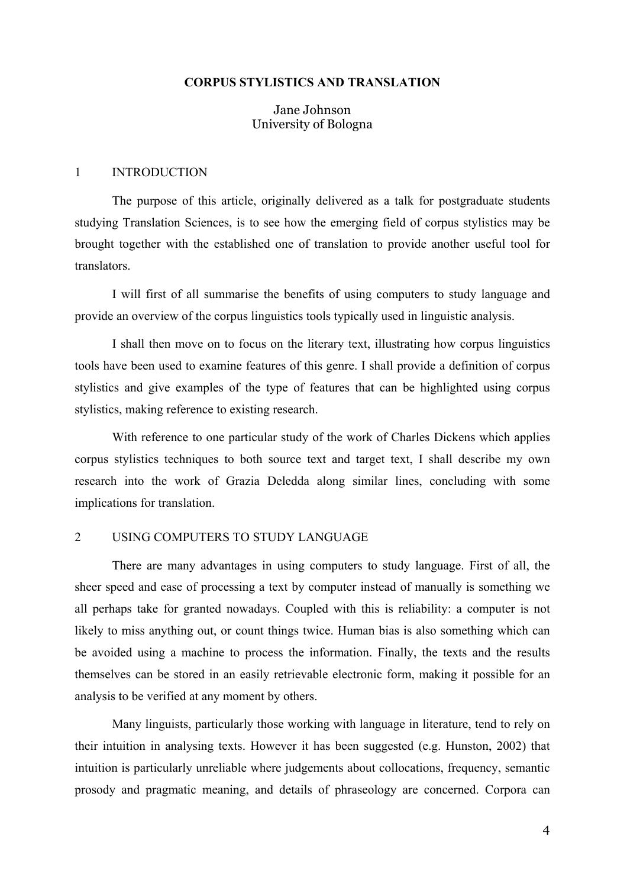#### **CORPUS STYLISTICS AND TRANSLATION**

Jane Johnson University of Bologna

### 1 INTRODUCTION

The purpose of this article, originally delivered as a talk for postgraduate students studying Translation Sciences, is to see how the emerging field of corpus stylistics may be brought together with the established one of translation to provide another useful tool for translators.

I will first of all summarise the benefits of using computers to study language and provide an overview of the corpus linguistics tools typically used in linguistic analysis.

I shall then move on to focus on the literary text, illustrating how corpus linguistics tools have been used to examine features of this genre. I shall provide a definition of corpus stylistics and give examples of the type of features that can be highlighted using corpus stylistics, making reference to existing research.

With reference to one particular study of the work of Charles Dickens which applies corpus stylistics techniques to both source text and target text, I shall describe my own research into the work of Grazia Deledda along similar lines, concluding with some implications for translation.

## 2 USING COMPUTERS TO STUDY LANGUAGE

There are many advantages in using computers to study language. First of all, the sheer speed and ease of processing a text by computer instead of manually is something we all perhaps take for granted nowadays. Coupled with this is reliability: a computer is not likely to miss anything out, or count things twice. Human bias is also something which can be avoided using a machine to process the information. Finally, the texts and the results themselves can be stored in an easily retrievable electronic form, making it possible for an analysis to be verified at any moment by others.

Many linguists, particularly those working with language in literature, tend to rely on their intuition in analysing texts. However it has been suggested (e.g. Hunston, 2002) that intuition is particularly unreliable where judgements about collocations, frequency, semantic prosody and pragmatic meaning, and details of phraseology are concerned. Corpora can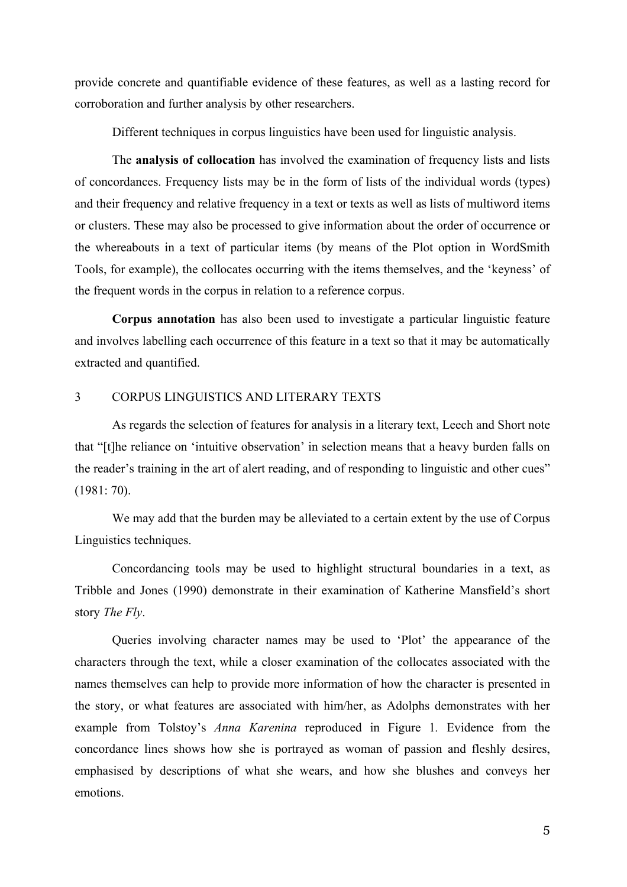provide concrete and quantifiable evidence of these features, as well as a lasting record for corroboration and further analysis by other researchers.

Different techniques in corpus linguistics have been used for linguistic analysis.

The **analysis of collocation** has involved the examination of frequency lists and lists of concordances. Frequency lists may be in the form of lists of the individual words (types) and their frequency and relative frequency in a text or texts as well as lists of multiword items or clusters. These may also be processed to give information about the order of occurrence or the whereabouts in a text of particular items (by means of the Plot option in WordSmith Tools, for example), the collocates occurring with the items themselves, and the 'keyness' of the frequent words in the corpus in relation to a reference corpus.

**Corpus annotation** has also been used to investigate a particular linguistic feature and involves labelling each occurrence of this feature in a text so that it may be automatically extracted and quantified.

## 3 CORPUS LINGUISTICS AND LITERARY TEXTS

As regards the selection of features for analysis in a literary text, Leech and Short note that "[t]he reliance on 'intuitive observation' in selection means that a heavy burden falls on the reader's training in the art of alert reading, and of responding to linguistic and other cues" (1981: 70).

We may add that the burden may be alleviated to a certain extent by the use of Corpus Linguistics techniques.

Concordancing tools may be used to highlight structural boundaries in a text, as Tribble and Jones (1990) demonstrate in their examination of Katherine Mansfield's short story *The Fly*.

Queries involving character names may be used to 'Plot' the appearance of the characters through the text, while a closer examination of the collocates associated with the names themselves can help to provide more information of how the character is presented in the story, or what features are associated with him/her, as Adolphs demonstrates with her example from Tolstoy's *Anna Karenina* reproduced in Figure 1*.* Evidence from the concordance lines shows how she is portrayed as woman of passion and fleshly desires, emphasised by descriptions of what she wears, and how she blushes and conveys her emotions.

5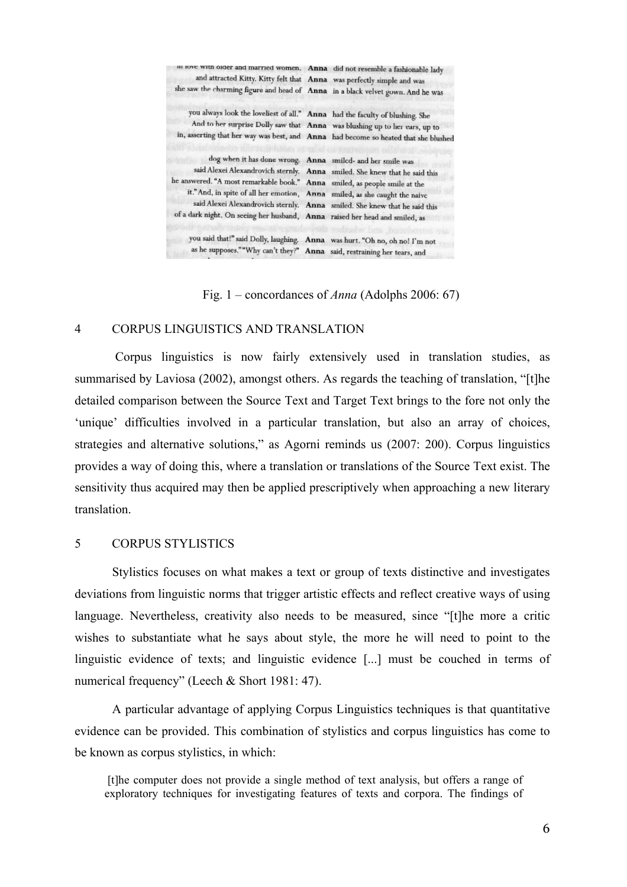| iii love with older and married women. Anna did not resemble a fashionable lady     |                                                                            |
|-------------------------------------------------------------------------------------|----------------------------------------------------------------------------|
| and attracted Kitty. Kitty felt that Anna was perfectly simple and was              |                                                                            |
| she saw the charming figure and head of Anna in a black velvet gown. And he was     |                                                                            |
| you always look the loveliest of all." Anna had the faculty of blushing. She        |                                                                            |
|                                                                                     | And to her surprise Dolly saw that Anna was blushing up to her ears, up to |
| in, asserting that her way was best, and Anna had become so heated that she blushed |                                                                            |
| dog when it has done wrong. Anna smiled- and her smile was                          |                                                                            |
|                                                                                     | said Alexei Alexandrovich sternly. Anna smiled. She knew that he said this |
| he answered. "A most remarkable book." Anna smiled, as people smile at the          |                                                                            |
| it." And, in spite of all her emotion, Anna smiled, as she caught the naive         |                                                                            |
|                                                                                     | said Alexei Alexandrovich sternly. Anna smiled. She knew that he said this |
| of a dark night. On seeing her husband, Anna raised her head and smiled, as         |                                                                            |
| you said that!" said Dolly, laughing. Anna was hurt. "Oh no, oh no! I'm not         |                                                                            |
| as he supposes.""Why can't they?" Anna said, restraining her tears, and             |                                                                            |

Fig. 1 – concordances of *Anna* (Adolphs 2006: 67)

## 4 CORPUS LINGUISTICS AND TRANSLATION

 Corpus linguistics is now fairly extensively used in translation studies, as summarised by Laviosa (2002), amongst others. As regards the teaching of translation, "[t]he detailed comparison between the Source Text and Target Text brings to the fore not only the 'unique' difficulties involved in a particular translation, but also an array of choices, strategies and alternative solutions," as Agorni reminds us (2007: 200). Corpus linguistics provides a way of doing this, where a translation or translations of the Source Text exist. The sensitivity thus acquired may then be applied prescriptively when approaching a new literary translation.

## 5 CORPUS STYLISTICS

Stylistics focuses on what makes a text or group of texts distinctive and investigates deviations from linguistic norms that trigger artistic effects and reflect creative ways of using language. Nevertheless, creativity also needs to be measured, since "[t]he more a critic wishes to substantiate what he says about style, the more he will need to point to the linguistic evidence of texts; and linguistic evidence [...] must be couched in terms of numerical frequency" (Leech & Short 1981: 47).

A particular advantage of applying Corpus Linguistics techniques is that quantitative evidence can be provided. This combination of stylistics and corpus linguistics has come to be known as corpus stylistics, in which:

 [t]he computer does not provide a single method of text analysis, but offers a range of exploratory techniques for investigating features of texts and corpora. The findings of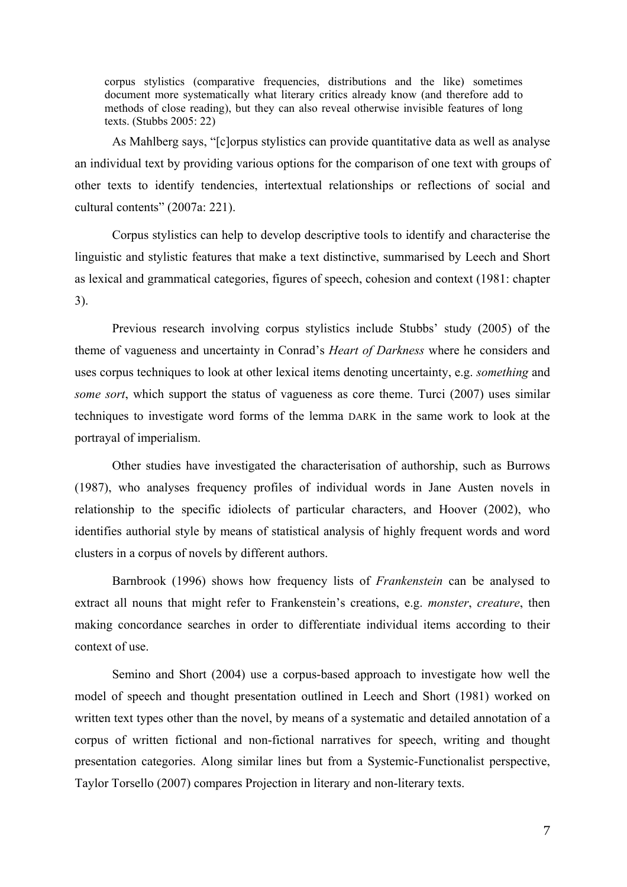corpus stylistics (comparative frequencies, distributions and the like) sometimes document more systematically what literary critics already know (and therefore add to methods of close reading), but they can also reveal otherwise invisible features of long texts. (Stubbs 2005: 22)

As Mahlberg says, "[c]orpus stylistics can provide quantitative data as well as analyse an individual text by providing various options for the comparison of one text with groups of other texts to identify tendencies, intertextual relationships or reflections of social and cultural contents" (2007a: 221).

Corpus stylistics can help to develop descriptive tools to identify and characterise the linguistic and stylistic features that make a text distinctive, summarised by Leech and Short as lexical and grammatical categories, figures of speech, cohesion and context (1981: chapter 3).

Previous research involving corpus stylistics include Stubbs' study (2005) of the theme of vagueness and uncertainty in Conrad's *Heart of Darkness* where he considers and uses corpus techniques to look at other lexical items denoting uncertainty, e.g. *something* and *some sort*, which support the status of vagueness as core theme. Turci (2007) uses similar techniques to investigate word forms of the lemma DARK in the same work to look at the portrayal of imperialism.

Other studies have investigated the characterisation of authorship, such as Burrows (1987), who analyses frequency profiles of individual words in Jane Austen novels in relationship to the specific idiolects of particular characters, and Hoover (2002), who identifies authorial style by means of statistical analysis of highly frequent words and word clusters in a corpus of novels by different authors.

Barnbrook (1996) shows how frequency lists of *Frankenstein* can be analysed to extract all nouns that might refer to Frankenstein's creations, e.g. *monster*, *creature*, then making concordance searches in order to differentiate individual items according to their context of use.

Semino and Short (2004) use a corpus-based approach to investigate how well the model of speech and thought presentation outlined in Leech and Short (1981) worked on written text types other than the novel, by means of a systematic and detailed annotation of a corpus of written fictional and non-fictional narratives for speech, writing and thought presentation categories. Along similar lines but from a Systemic-Functionalist perspective, Taylor Torsello (2007) compares Projection in literary and non-literary texts.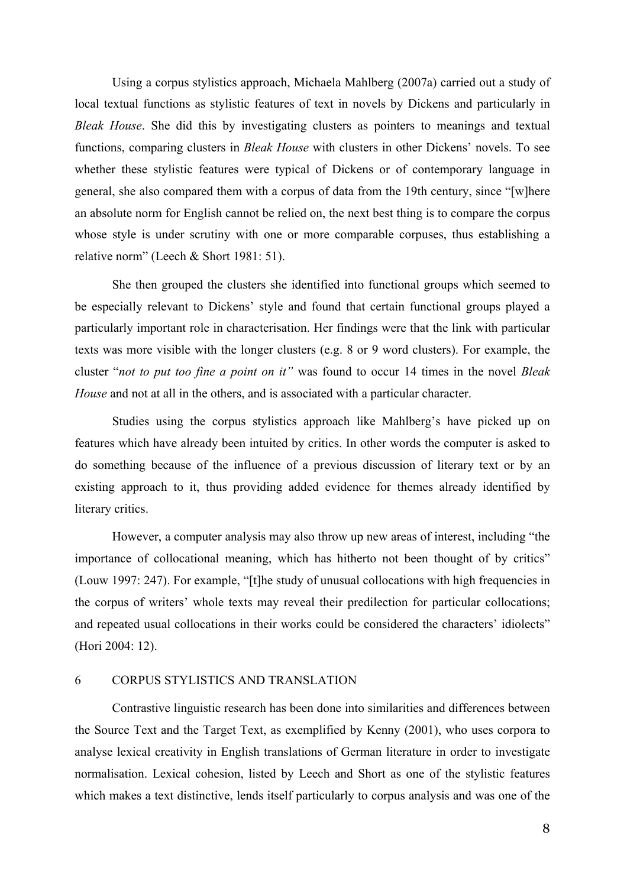Using a corpus stylistics approach, Michaela Mahlberg (2007a) carried out a study of local textual functions as stylistic features of text in novels by Dickens and particularly in *Bleak House*. She did this by investigating clusters as pointers to meanings and textual functions, comparing clusters in *Bleak House* with clusters in other Dickens' novels. To see whether these stylistic features were typical of Dickens or of contemporary language in general, she also compared them with a corpus of data from the 19th century, since "[w]here an absolute norm for English cannot be relied on, the next best thing is to compare the corpus whose style is under scrutiny with one or more comparable corpuses, thus establishing a relative norm" (Leech & Short 1981: 51).

She then grouped the clusters she identified into functional groups which seemed to be especially relevant to Dickens' style and found that certain functional groups played a particularly important role in characterisation. Her findings were that the link with particular texts was more visible with the longer clusters (e.g. 8 or 9 word clusters). For example, the cluster "*not to put too fine a point on it"* was found to occur 14 times in the novel *Bleak House* and not at all in the others, and is associated with a particular character.

Studies using the corpus stylistics approach like Mahlberg's have picked up on features which have already been intuited by critics. In other words the computer is asked to do something because of the influence of a previous discussion of literary text or by an existing approach to it, thus providing added evidence for themes already identified by literary critics.

However, a computer analysis may also throw up new areas of interest, including "the importance of collocational meaning, which has hitherto not been thought of by critics" (Louw 1997: 247). For example, "[t]he study of unusual collocations with high frequencies in the corpus of writers' whole texts may reveal their predilection for particular collocations; and repeated usual collocations in their works could be considered the characters' idiolects" (Hori 2004: 12).

## 6 CORPUS STYLISTICS AND TRANSLATION

Contrastive linguistic research has been done into similarities and differences between the Source Text and the Target Text, as exemplified by Kenny (2001), who uses corpora to analyse lexical creativity in English translations of German literature in order to investigate normalisation. Lexical cohesion, listed by Leech and Short as one of the stylistic features which makes a text distinctive, lends itself particularly to corpus analysis and was one of the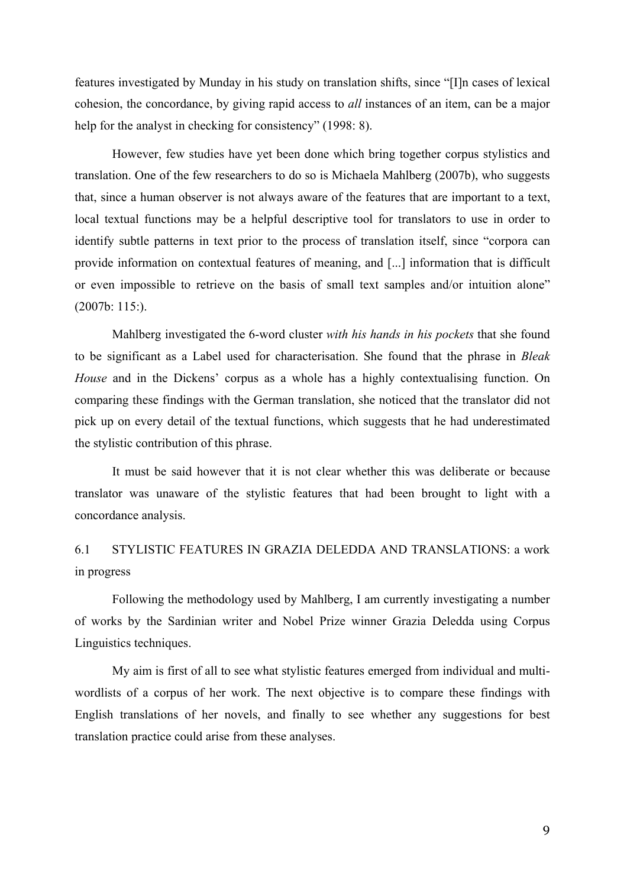features investigated by Munday in his study on translation shifts, since "[I]n cases of lexical cohesion, the concordance, by giving rapid access to *all* instances of an item, can be a major help for the analyst in checking for consistency" (1998: 8).

However, few studies have yet been done which bring together corpus stylistics and translation. One of the few researchers to do so is Michaela Mahlberg (2007b), who suggests that, since a human observer is not always aware of the features that are important to a text, local textual functions may be a helpful descriptive tool for translators to use in order to identify subtle patterns in text prior to the process of translation itself, since "corpora can provide information on contextual features of meaning, and [...] information that is difficult or even impossible to retrieve on the basis of small text samples and/or intuition alone" (2007b: 115:).

Mahlberg investigated the 6-word cluster *with his hands in his pockets* that she found to be significant as a Label used for characterisation. She found that the phrase in *Bleak House* and in the Dickens' corpus as a whole has a highly contextualising function. On comparing these findings with the German translation, she noticed that the translator did not pick up on every detail of the textual functions, which suggests that he had underestimated the stylistic contribution of this phrase.

It must be said however that it is not clear whether this was deliberate or because translator was unaware of the stylistic features that had been brought to light with a concordance analysis.

6.1 STYLISTIC FEATURES IN GRAZIA DELEDDA AND TRANSLATIONS: a work in progress

Following the methodology used by Mahlberg, I am currently investigating a number of works by the Sardinian writer and Nobel Prize winner Grazia Deledda using Corpus Linguistics techniques.

My aim is first of all to see what stylistic features emerged from individual and multiwordlists of a corpus of her work. The next objective is to compare these findings with English translations of her novels, and finally to see whether any suggestions for best translation practice could arise from these analyses.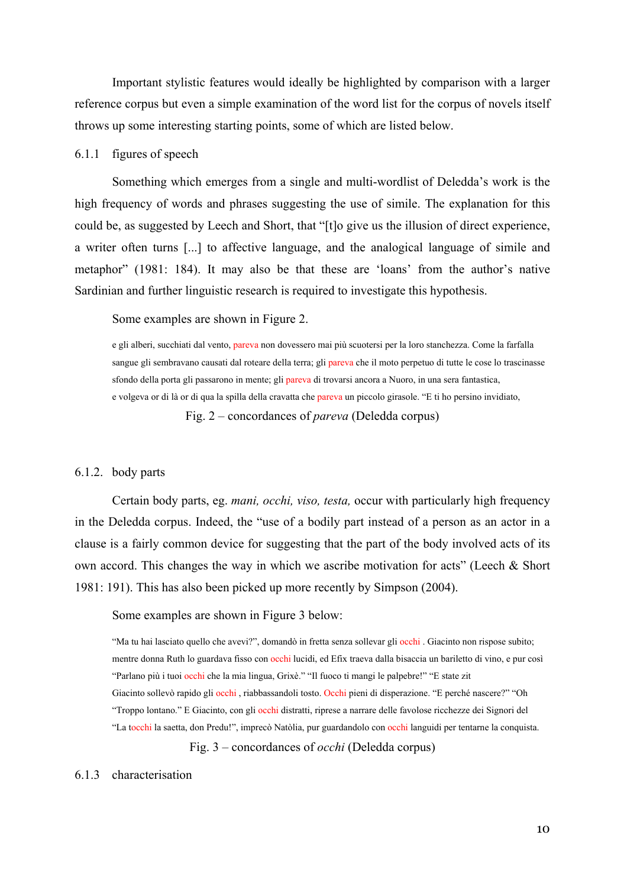Important stylistic features would ideally be highlighted by comparison with a larger reference corpus but even a simple examination of the word list for the corpus of novels itself throws up some interesting starting points, some of which are listed below.

### 6.1.1 figures of speech

Something which emerges from a single and multi-wordlist of Deledda's work is the high frequency of words and phrases suggesting the use of simile. The explanation for this could be, as suggested by Leech and Short, that "[t]o give us the illusion of direct experience, a writer often turns [...] to affective language, and the analogical language of simile and metaphor" (1981: 184). It may also be that these are 'loans' from the author's native Sardinian and further linguistic research is required to investigate this hypothesis.

Some examples are shown in Figure 2.

e gli alberi, succhiati dal vento, pareva non dovessero mai più scuotersi per la loro stanchezza. Come la farfalla sangue gli sembravano causati dal roteare della terra; gli pareva che il moto perpetuo di tutte le cose lo trascinasse sfondo della porta gli passarono in mente; gli pareva di trovarsi ancora a Nuoro, in una sera fantastica, e volgeva or di là or di qua la spilla della cravatta che pareva un piccolo girasole. "E ti ho persino invidiato,

Fig. 2 – concordances of *pareva* (Deledda corpus)

### 6.1.2. body parts

Certain body parts, eg. *mani, occhi, viso, testa,* occur with particularly high frequency in the Deledda corpus. Indeed, the "use of a bodily part instead of a person as an actor in a clause is a fairly common device for suggesting that the part of the body involved acts of its own accord. This changes the way in which we ascribe motivation for acts" (Leech & Short 1981: 191). This has also been picked up more recently by Simpson (2004).

Some examples are shown in Figure 3 below:

"Ma tu hai lasciato quello che avevi?", domandò in fretta senza sollevar gli occhi . Giacinto non rispose subito; mentre donna Ruth lo guardava fisso con occhi lucidi, ed Efix traeva dalla bisaccia un bariletto di vino, e pur così "Parlano più i tuoi occhi che la mia lingua, Grixè." "Il fuoco ti mangi le palpebre!" "E state zit Giacinto sollevò rapido gli occhi , riabbassandoli tosto. Occhi pieni di disperazione. "E perché nascere?" "Oh "Troppo lontano." E Giacinto, con gli occhi distratti, riprese a narrare delle favolose ricchezze dei Signori del "La tocchi la saetta, don Predu!", imprecò Natòlia, pur guardandolo con occhi languidi per tentarne la conquista.

Fig. 3 – concordances of *occhi* (Deledda corpus)

#### 6.1.3 characterisation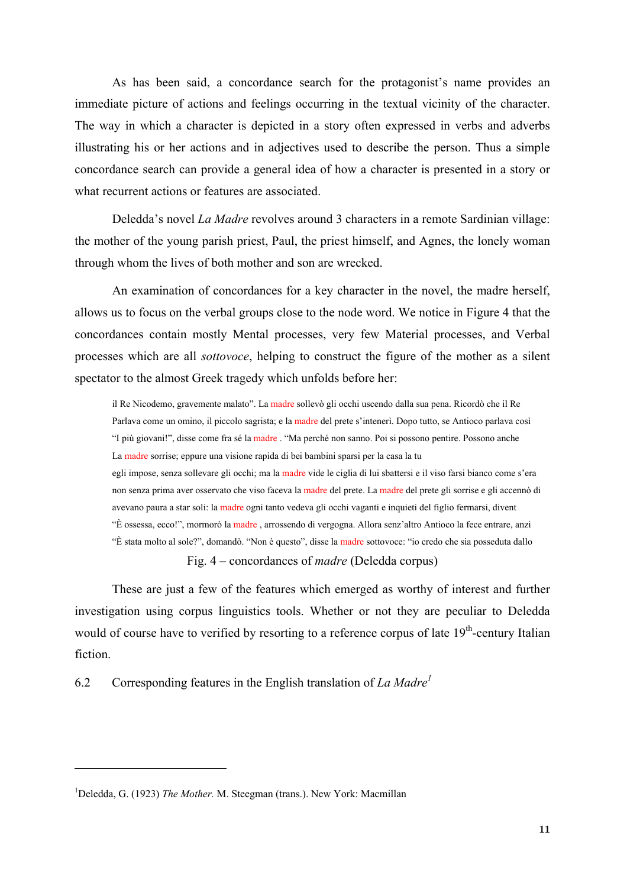As has been said, a concordance search for the protagonist's name provides an immediate picture of actions and feelings occurring in the textual vicinity of the character. The way in which a character is depicted in a story often expressed in verbs and adverbs illustrating his or her actions and in adjectives used to describe the person. Thus a simple concordance search can provide a general idea of how a character is presented in a story or what recurrent actions or features are associated.

Deledda's novel *La Madre* revolves around 3 characters in a remote Sardinian village: the mother of the young parish priest, Paul, the priest himself, and Agnes, the lonely woman through whom the lives of both mother and son are wrecked.

An examination of concordances for a key character in the novel, the madre herself, allows us to focus on the verbal groups close to the node word. We notice in Figure 4 that the concordances contain mostly Mental processes, very few Material processes, and Verbal processes which are all *sottovoce*, helping to construct the figure of the mother as a silent spectator to the almost Greek tragedy which unfolds before her:

il Re Nicodemo, gravemente malato". La madre sollevò gli occhi uscendo dalla sua pena. Ricordò che il Re Parlava come un omino, il piccolo sagrista; e la madre del prete s'intenerì. Dopo tutto, se Antioco parlava così "I più giovani!", disse come fra sé la madre . "Ma perché non sanno. Poi si possono pentire. Possono anche La madre sorrise; eppure una visione rapida di bei bambini sparsi per la casa la tu

egli impose, senza sollevare gli occhi; ma la madre vide le ciglia di lui sbattersi e il viso farsi bianco come s'era non senza prima aver osservato che viso faceva la madre del prete. La madre del prete gli sorrise e gli accennò di avevano paura a star soli: la madre ogni tanto vedeva gli occhi vaganti e inquieti del figlio fermarsi, divent "È ossessa, ecco!", mormorò la madre , arrossendo di vergogna. Allora senz'altro Antioco la fece entrare, anzi "È stata molto al sole?", domandò. "Non è questo", disse la madre sottovoce: "io credo che sia posseduta dallo

Fig. 4 – concordances of *madre* (Deledda corpus)

These are just a few of the features which emerged as worthy of interest and further investigation using corpus linguistics tools. Whether or not they are peculiar to Deledda would of course have to verified by resorting to a reference corpus of late 19<sup>th</sup>-century Italian fiction.

6.2 Corresponding features in the English translation of *La Madre<sup>1</sup>*

 $\overline{a}$ 

<sup>&</sup>lt;sup>1</sup>Deledda, G. (1923) *The Mother*. M. Steegman (trans.). New York: Macmillan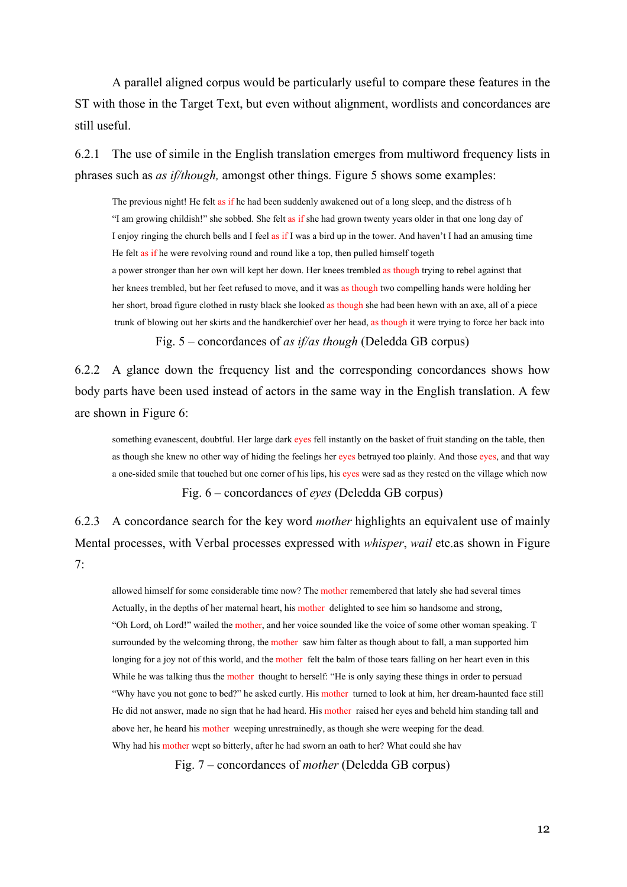A parallel aligned corpus would be particularly useful to compare these features in the ST with those in the Target Text, but even without alignment, wordlists and concordances are still useful.

6.2.1 The use of simile in the English translation emerges from multiword frequency lists in phrases such as *as if/though,* amongst other things. Figure 5 shows some examples:

The previous night! He felt as if he had been suddenly awakened out of a long sleep, and the distress of h "I am growing childish!" she sobbed. She felt as if she had grown twenty years older in that one long day of I enjoy ringing the church bells and I feel as if I was a bird up in the tower. And haven't I had an amusing time He felt as if he were revolving round and round like a top, then pulled himself togeth

a power stronger than her own will kept her down. Her knees trembled as though trying to rebel against that her knees trembled, but her feet refused to move, and it was as though two compelling hands were holding her her short, broad figure clothed in rusty black she looked as though she had been hewn with an axe, all of a piece trunk of blowing out her skirts and the handkerchief over her head, as though it were trying to force her back into

Fig. 5 – concordances of *as if/as though* (Deledda GB corpus)

6.2.2 A glance down the frequency list and the corresponding concordances shows how body parts have been used instead of actors in the same way in the English translation. A few are shown in Figure 6:

something evanescent, doubtful. Her large dark eyes fell instantly on the basket of fruit standing on the table, then as though she knew no other way of hiding the feelings her eyes betrayed too plainly. And those eyes, and that way a one-sided smile that touched but one corner of his lips, his eyes were sad as they rested on the village which now Fig. 6 – concordances of *eyes* (Deledda GB corpus)

6.2.3 A concordance search for the key word *mother* highlights an equivalent use of mainly Mental processes, with Verbal processes expressed with *whisper*, *wail* etc.as shown in Figure 7:

allowed himself for some considerable time now? The mother remembered that lately she had several times Actually, in the depths of her maternal heart, his mother delighted to see him so handsome and strong, "Oh Lord, oh Lord!" wailed the mother, and her voice sounded like the voice of some other woman speaking. T surrounded by the welcoming throng, the mother saw him falter as though about to fall, a man supported him longing for a joy not of this world, and the mother felt the balm of those tears falling on her heart even in this While he was talking thus the mother thought to herself: "He is only saying these things in order to persuad "Why have you not gone to bed?" he asked curtly. His mother turned to look at him, her dream-haunted face still He did not answer, made no sign that he had heard. His mother raised her eyes and beheld him standing tall and above her, he heard his mother weeping unrestrainedly, as though she were weeping for the dead. Why had his mother wept so bitterly, after he had sworn an oath to her? What could she hav

Fig. 7 – concordances of *mother* (Deledda GB corpus)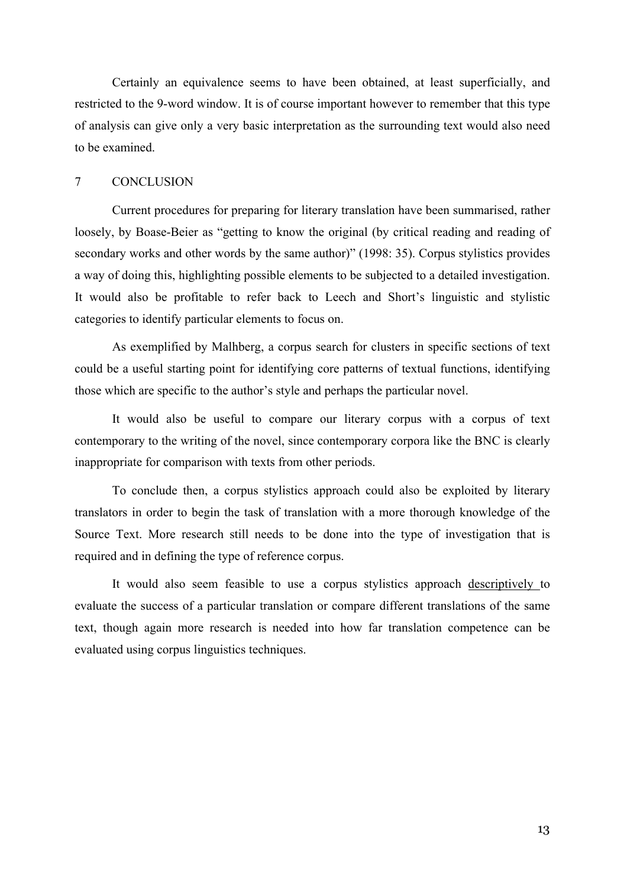Certainly an equivalence seems to have been obtained, at least superficially, and restricted to the 9-word window. It is of course important however to remember that this type of analysis can give only a very basic interpretation as the surrounding text would also need to be examined.

#### 7 CONCLUSION

Current procedures for preparing for literary translation have been summarised, rather loosely, by Boase-Beier as "getting to know the original (by critical reading and reading of secondary works and other words by the same author)" (1998: 35). Corpus stylistics provides a way of doing this, highlighting possible elements to be subjected to a detailed investigation. It would also be profitable to refer back to Leech and Short's linguistic and stylistic categories to identify particular elements to focus on.

As exemplified by Malhberg, a corpus search for clusters in specific sections of text could be a useful starting point for identifying core patterns of textual functions, identifying those which are specific to the author's style and perhaps the particular novel.

It would also be useful to compare our literary corpus with a corpus of text contemporary to the writing of the novel, since contemporary corpora like the BNC is clearly inappropriate for comparison with texts from other periods.

To conclude then, a corpus stylistics approach could also be exploited by literary translators in order to begin the task of translation with a more thorough knowledge of the Source Text. More research still needs to be done into the type of investigation that is required and in defining the type of reference corpus.

It would also seem feasible to use a corpus stylistics approach descriptively to evaluate the success of a particular translation or compare different translations of the same text, though again more research is needed into how far translation competence can be evaluated using corpus linguistics techniques.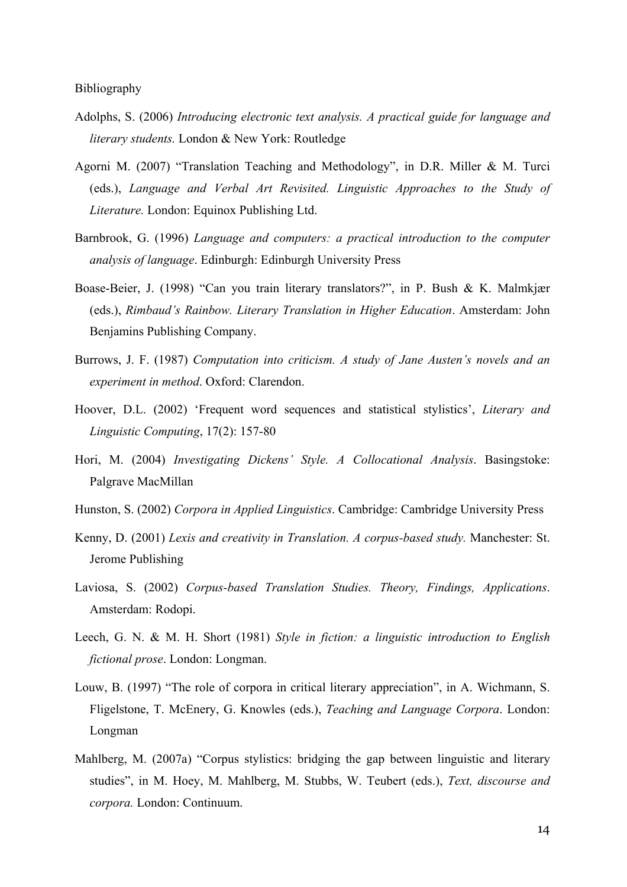Bibliography

- Adolphs, S. (2006) *Introducing electronic text analysis. A practical guide for language and literary students.* London & New York: Routledge
- Agorni M. (2007) "Translation Teaching and Methodology", in D.R. Miller & M. Turci (eds.), *Language and Verbal Art Revisited. Linguistic Approaches to the Study of Literature.* London: Equinox Publishing Ltd.
- Barnbrook, G. (1996) *Language and computers: a practical introduction to the computer analysis of language*. Edinburgh: Edinburgh University Press
- Boase-Beier, J. (1998) "Can you train literary translators?", in P. Bush & K. Malmkjær (eds.), *Rimbaud's Rainbow. Literary Translation in Higher Education*. Amsterdam: John Benjamins Publishing Company.
- Burrows, J. F. (1987) *Computation into criticism. A study of Jane Austen's novels and an experiment in method*. Oxford: Clarendon.
- Hoover, D.L. (2002) 'Frequent word sequences and statistical stylistics', *Literary and Linguistic Computing*, 17(2): 157-80
- Hori, M. (2004) *Investigating Dickens' Style. A Collocational Analysis*. Basingstoke: Palgrave MacMillan
- Hunston, S. (2002) *Corpora in Applied Linguistics*. Cambridge: Cambridge University Press
- Kenny, D. (2001) *Lexis and creativity in Translation. A corpus-based study.* Manchester: St. Jerome Publishing
- Laviosa, S. (2002) *Corpus-based Translation Studies. Theory, Findings, Applications*. Amsterdam: Rodopi.
- Leech, G. N. & M. H. Short (1981) *Style in fiction: a linguistic introduction to English fictional prose*. London: Longman.
- Louw, B. (1997) "The role of corpora in critical literary appreciation", in A. Wichmann, S. Fligelstone, T. McEnery, G. Knowles (eds.), *Teaching and Language Corpora*. London: Longman
- Mahlberg, M. (2007a) "Corpus stylistics: bridging the gap between linguistic and literary studies", in M. Hoey, M. Mahlberg, M. Stubbs, W. Teubert (eds.), *Text, discourse and corpora.* London: Continuum.